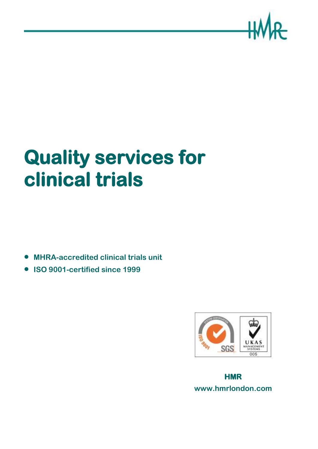

# **Quality services for clinical trials**

**MHRA-accredited clinical trials unit**

**ISO 9001-certified since 1999**



**HMR www.hmrlondon.com**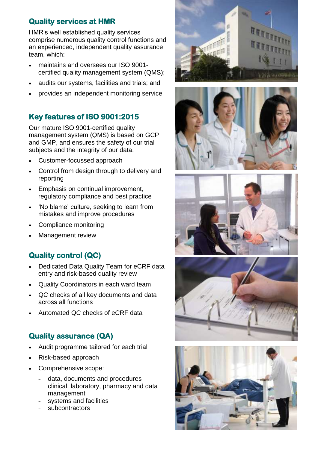# **Quality services at HMR**

HMR's well established quality services comprise numerous quality control functions and an experienced, independent quality assurance team, which:

- maintains and oversees our ISO 9001 certified quality management system (QMS);
- audits our systems, facilities and trials; and
- provides an independent monitoring service

# **Key features of ISO 9001:2015**

Our mature ISO 9001-certified quality management system (QMS) is based on GCP and GMP, and ensures the safety of our trial subjects and the integrity of our data.

- Customer-focussed approach
- Control from design through to delivery and reporting
- Emphasis on continual improvement, regulatory compliance and best practice
- 'No blame' culture, seeking to learn from mistakes and improve procedures
- Compliance monitoring
- Management review

# **Quality control (QC)**

- Dedicated Data Quality Team for eCRF data entry and risk-based quality review
- Quality Coordinators in each ward team
- QC checks of all key documents and data across all functions
- Automated QC checks of eCRF data

#### **Quality assurance (QA)**

- Audit programme tailored for each trial
- Risk-based approach
- Comprehensive scope:
	- data, documents and procedures
	- clinical, laboratory, pharmacy and data management
	- systems and facilities
	- subcontractors









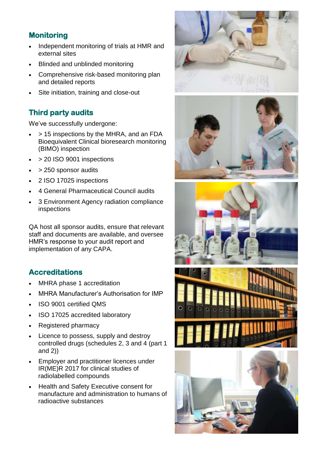## **Monitoring**

- Independent monitoring of trials at HMR and external sites
- Blinded and unblinded monitoring
- Comprehensive risk-based monitoring plan and detailed reports
- Site initiation, training and close-out

# **Third party audits**

We've successfully undergone:

- > 15 inspections by the MHRA, and an FDA Bioequivalent Clinical bioresearch monitoring (BIMO) inspection
- $\bullet$  > 20 ISO 9001 inspections
- > 250 sponsor audits
- 2 ISO 17025 inspections
- 4 General Pharmaceutical Council audits
- 3 Environment Agency radiation compliance inspections

QA host all sponsor audits, ensure that relevant staff and documents are available, and oversee HMR's response to your audit report and implementation of any CAPA.

### **Accreditations**

- MHRA phase 1 accreditation
- MHRA Manufacturer's Authorisation for IMP
- ISO 9001 certified QMS
- ISO 17025 accredited laboratory
- Registered pharmacy
- Licence to possess, supply and destroy controlled drugs (schedules 2, 3 and 4 (part 1 and 2))
- Employer and practitioner licences under IR(ME)R 2017 for clinical studies of radiolabelled compounds
- Health and Safety Executive consent for manufacture and administration to humans of radioactive substances